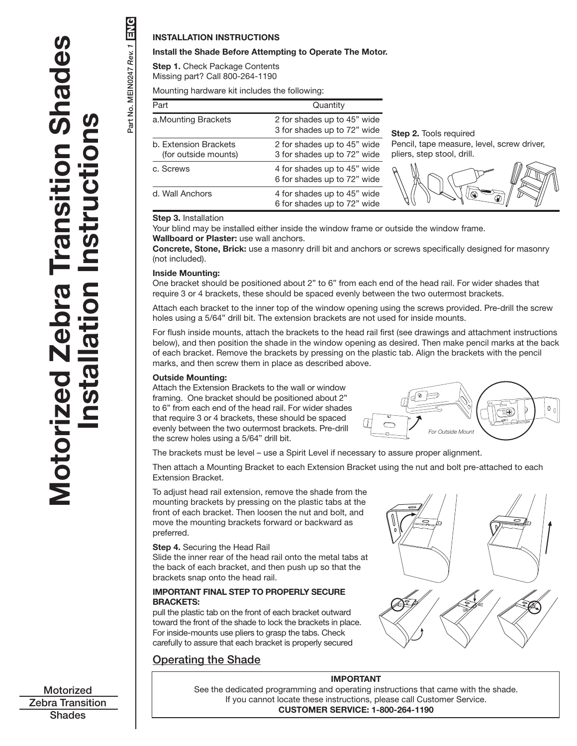# **UNG** Part No. MEIN0247 *Rev. 1* ENGPart No. MEIN0247 Rev. 1

**INSTALLATION INSTRUCTIONS**

# **Install the Shade Before Attempting to Operate The Motor.**

**Step 1.** Check Package Contents Missing part? Call 800-264-1190

Mounting hardware kit includes the following:

| Part                                          | Quantity                                                   |                                                                          |
|-----------------------------------------------|------------------------------------------------------------|--------------------------------------------------------------------------|
| a. Mounting Brackets                          | 2 for shades up to 45" wide<br>3 for shades up to 72" wide | <b>Step 2.</b> Tools required                                            |
| b. Extension Brackets<br>(for outside mounts) | 2 for shades up to 45" wide<br>3 for shades up to 72" wide | Pencil, tape measure, level, screw driver,<br>pliers, step stool, drill. |
| c. Screws                                     | 4 for shades up to 45" wide<br>6 for shades up to 72" wide | ř                                                                        |
| d. Wall Anchors                               | 4 for shades up to 45" wide<br>6 for shades up to 72" wide |                                                                          |

# **Step 3.** Installation

Your blind may be installed either inside the window frame or outside the window frame. **Wallboard or Plaster:** use wall anchors.

**Concrete, Stone, Brick:** use a masonry drill bit and anchors or screws specifically designed for masonry (not included).

# **Inside Mounting:**

One bracket should be positioned about 2" to 6" from each end of the head rail. For wider shades that require 3 or 4 brackets, these should be spaced evenly between the two outermost brackets.

Attach each bracket to the inner top of the window opening using the screws provided. Pre-drill the screw holes using a 5/64" drill bit. The extension brackets are not used for inside mounts.

For flush inside mounts, attach the brackets to the head rail first (see drawings and attachment instructions below), and then position the shade in the window opening as desired. Then make pencil marks at the back of each bracket. Remove the brackets by pressing on the plastic tab. Align the brackets with the pencil marks, and then screw them in place as described above.

# **Outside Mounting:**

Attach the Extension Brackets to the wall or window framing. One bracket should be positioned about 2" to 6" from each end of the head rail. For wider shades that require 3 or 4 brackets, these should be spaced evenly between the two outermost brackets. Pre-drill the screw holes using a 5/64" drill bit.



The brackets must be level – use a Spirit Level if necessary to assure proper alignment.

Then attach a Mounting Bracket to each Extension Bracket using the nut and bolt pre-attached to each Extension Bracket.

To adjust head rail extension, remove the shade from the mounting brackets by pressing on the plastic tabs at the front of each bracket. Then loosen the nut and bolt, and move the mounting brackets forward or backward as preferred.

### **Step 4.** Securing the Head Rail

Slide the inner rear of the head rail onto the metal tabs at the back of each bracket, and then push up so that the brackets snap onto the head rail.

# **IMPORTANT FINAL STEP TO PROPERLY SECURE BRACKETS:**

pull the plastic tab on the front of each bracket outward toward the front of the shade to lock the brackets in place. For inside-mounts use pliers to grasp the tabs. Check carefully to assure that each bracket is properly secured

# Operating the Shade



# **IMPORTANT**

See the dedicated programming and operating instructions that came with the shade. If you cannot locate these instructions, please call Customer Service. **CUSTOMER SERVICE: 1-800-264-1190**

**Motorized** Zebra Transition **Shades**